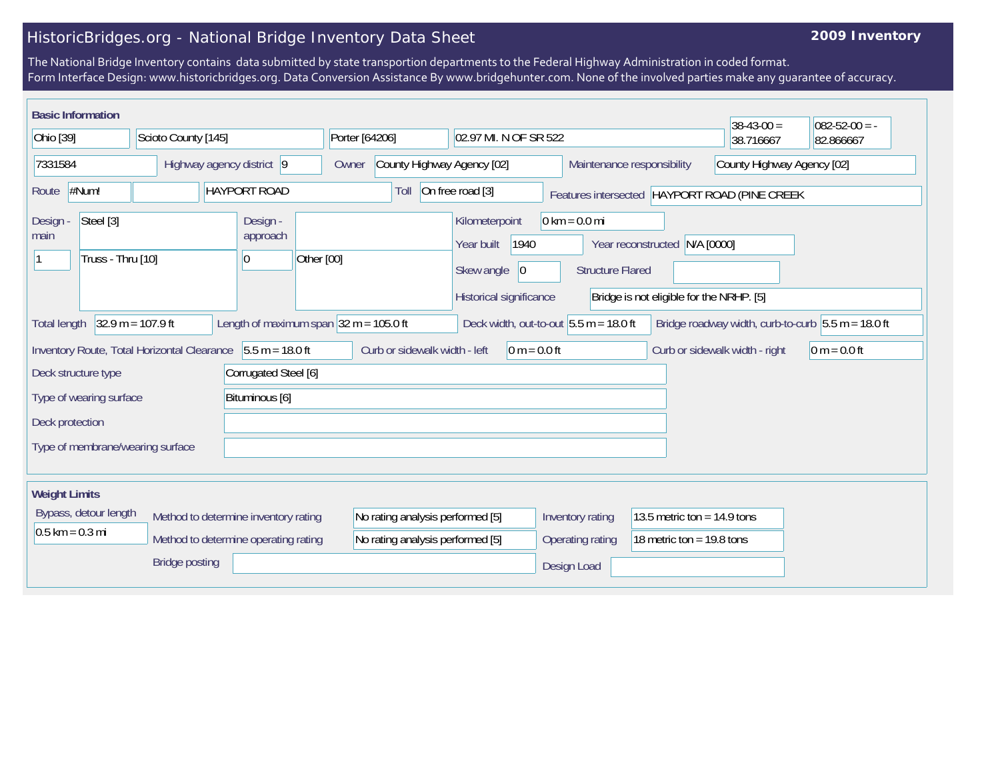## HistoricBridges.org - National Bridge Inventory Data Sheet

## **2009 Inventory**

The National Bridge Inventory contains data submitted by state transportion departments to the Federal Highway Administration in coded format. Form Interface Design: www.historicbridges.org. Data Conversion Assistance By www.bridgehunter.com. None of the involved parties make any guarantee of accuracy.

| <b>Basic Information</b>                                                                                                                                                                   |  |                                          |                                                                      |                                                                                      |                                                            |                                                                           | $38-43-00 =$                                  | $082 - 52 - 00 = -$ |
|--------------------------------------------------------------------------------------------------------------------------------------------------------------------------------------------|--|------------------------------------------|----------------------------------------------------------------------|--------------------------------------------------------------------------------------|------------------------------------------------------------|---------------------------------------------------------------------------|-----------------------------------------------|---------------------|
| Ohio [39]<br>Scioto County [145]                                                                                                                                                           |  | Porter [64206]                           | 02.97 MI. N OF SR 522                                                |                                                                                      |                                                            | 38.716667                                                                 | 82.866667                                     |                     |
| 7331584<br>Highway agency district 9                                                                                                                                                       |  | Owner                                    | County Highway Agency [02]<br>Maintenance responsibility             |                                                                                      | County Highway Agency [02]                                 |                                                                           |                                               |                     |
| #Num!<br><b>HAYPORT ROAD</b><br>Route                                                                                                                                                      |  |                                          | Toll                                                                 | On free road [3]                                                                     |                                                            |                                                                           | Features intersected HAYPORT ROAD (PINE CREEK |                     |
| Steel [3]<br>Design<br>main<br>Truss - Thru [10]                                                                                                                                           |  | Design -<br>approach<br>Other [00]<br> 0 |                                                                      | Kilometerpoint<br>1940<br>Year built<br>Skew angle<br> 0 <br>Historical significance | $0 \text{ km} = 0.0 \text{ mi}$<br><b>Structure Flared</b> | Year reconstructed N/A [0000]<br>Bridge is not eligible for the NRHP. [5] |                                               |                     |
| $32.9 m = 107.9 ft$<br>Length of maximum span $32 m = 105.0$ ft<br>Deck width, out-to-out $5.5 m = 18.0 ft$<br>Bridge roadway width, curb-to-curb $5.5 m = 18.0 ft$<br><b>Total length</b> |  |                                          |                                                                      |                                                                                      |                                                            |                                                                           |                                               |                     |
| Inventory Route, Total Horizontal Clearance 5.5 m = 18.0 ft                                                                                                                                |  |                                          | Curb or sidewalk width - left                                        | $0 m = 0.0 ft$                                                                       |                                                            |                                                                           | Curb or sidewalk width - right                | $ 0 m = 0.0 ft$     |
| Corrugated Steel [6]<br>Deck structure type                                                                                                                                                |  |                                          |                                                                      |                                                                                      |                                                            |                                                                           |                                               |                     |
| Type of wearing surface<br>Bituminous [6]                                                                                                                                                  |  |                                          |                                                                      |                                                                                      |                                                            |                                                                           |                                               |                     |
| Deck protection                                                                                                                                                                            |  |                                          |                                                                      |                                                                                      |                                                            |                                                                           |                                               |                     |
| Type of membrane/wearing surface                                                                                                                                                           |  |                                          |                                                                      |                                                                                      |                                                            |                                                                           |                                               |                     |
| <b>Weight Limits</b>                                                                                                                                                                       |  |                                          |                                                                      |                                                                                      |                                                            |                                                                           |                                               |                     |
| Bypass, detour length<br>Method to determine inventory rating<br>$0.5$ km = 0.3 mi<br>Method to determine operating rating                                                                 |  |                                          | No rating analysis performed [5]<br>No rating analysis performed [5] |                                                                                      | Inventory rating<br>Operating rating                       | 13.5 metric ton = $14.9$ tons<br>18 metric ton = $19.8$ tons              |                                               |                     |
| <b>Bridge posting</b>                                                                                                                                                                      |  |                                          |                                                                      |                                                                                      | Design Load                                                |                                                                           |                                               |                     |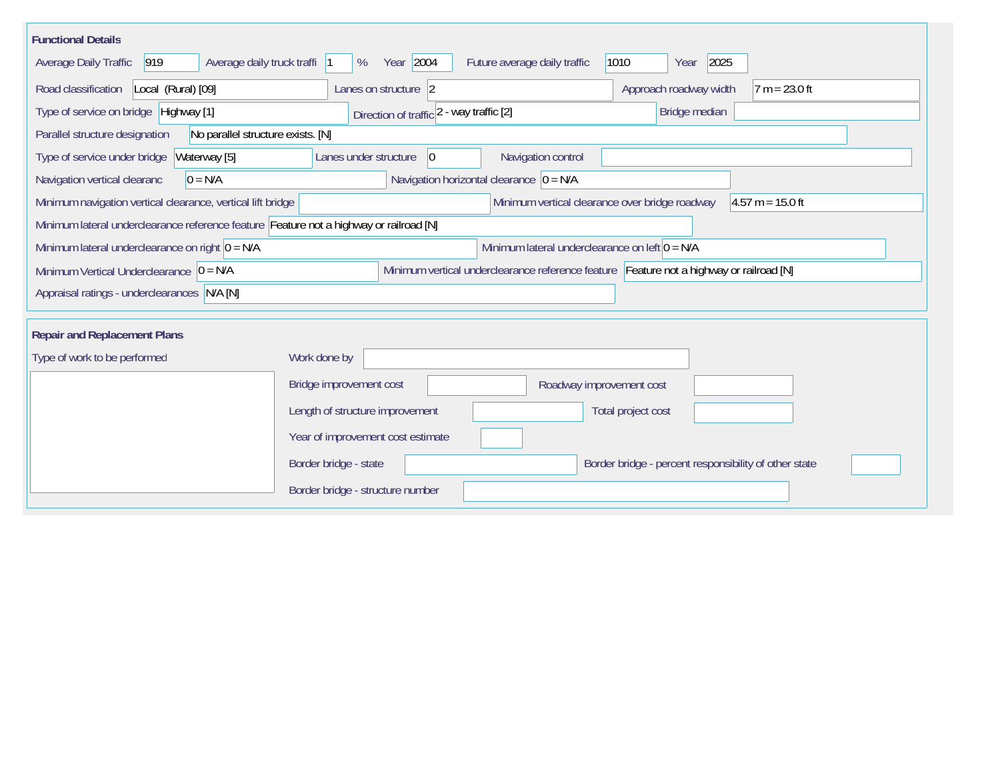| <b>Functional Details</b>                                                                                                              |                                                                                                                                     |  |  |  |  |  |
|----------------------------------------------------------------------------------------------------------------------------------------|-------------------------------------------------------------------------------------------------------------------------------------|--|--|--|--|--|
| Average daily truck traffi  1<br>$ 919\rangle$<br>Average Daily Traffic                                                                | Year 2004<br>2025<br>Future average daily traffic<br>1010<br>%<br>Year                                                              |  |  |  |  |  |
| Road classification<br>Local (Rural) [09]                                                                                              | Lanes on structure $\vert$ 2<br>Approach roadway width<br>$7 m = 23.0 ft$                                                           |  |  |  |  |  |
| Type of service on bridge Highway [1]                                                                                                  | Bridge median<br>Direction of traffic 2 - way traffic [2]                                                                           |  |  |  |  |  |
| Parallel structure designation<br>No parallel structure exists. [N]                                                                    |                                                                                                                                     |  |  |  |  |  |
| Waterway [5]<br>Navigation control<br>Type of service under bridge<br>Lanes under structure<br>$\overline{0}$                          |                                                                                                                                     |  |  |  |  |  |
| Navigation horizontal clearance $ 0 = N/A $<br>Navigation vertical clearanc<br>$0 = N/A$                                               |                                                                                                                                     |  |  |  |  |  |
|                                                                                                                                        | $4.57 m = 15.0 ft$<br>Minimum navigation vertical clearance, vertical lift bridge<br>Minimum vertical clearance over bridge roadway |  |  |  |  |  |
|                                                                                                                                        | Minimum lateral underclearance reference feature Feature not a highway or railroad [N]                                              |  |  |  |  |  |
| Minimum lateral underclearance on right $0 = N/A$                                                                                      | Minimum lateral underclearance on left $0 = N/A$                                                                                    |  |  |  |  |  |
| Minimum vertical underclearance reference feature Feature not a highway or railroad [N]<br>Minimum Vertical Underclearance $ 0 = N/A $ |                                                                                                                                     |  |  |  |  |  |
| Appraisal ratings - underclearances N/A [N]                                                                                            |                                                                                                                                     |  |  |  |  |  |
|                                                                                                                                        |                                                                                                                                     |  |  |  |  |  |
| <b>Repair and Replacement Plans</b>                                                                                                    |                                                                                                                                     |  |  |  |  |  |
| Type of work to be performed                                                                                                           | Work done by                                                                                                                        |  |  |  |  |  |
|                                                                                                                                        | Bridge improvement cost<br>Roadway improvement cost                                                                                 |  |  |  |  |  |
|                                                                                                                                        | Length of structure improvement<br>Total project cost                                                                               |  |  |  |  |  |
|                                                                                                                                        | Year of improvement cost estimate                                                                                                   |  |  |  |  |  |
|                                                                                                                                        | Border bridge - state<br>Border bridge - percent responsibility of other state                                                      |  |  |  |  |  |
|                                                                                                                                        | Border bridge - structure number                                                                                                    |  |  |  |  |  |